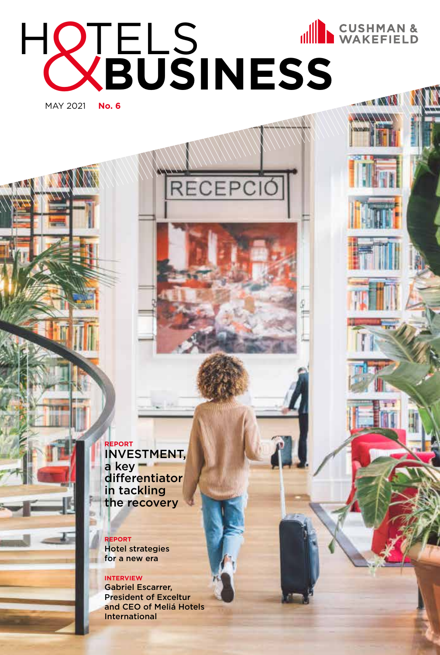# MAY 2021 **No. 6 QUELS INESS** HOTELS

RECEPCI

**REPORT** INVESTMENT,  $a$  key  $$ differentiator in tackling the recovery

**REPORT** Hotel strategies for a new era

#### **INTERVIEW**

Gabriel Escarrer, President of Exceltur and CEO of Meliá Hotels International

1

**ANTIFICIAL**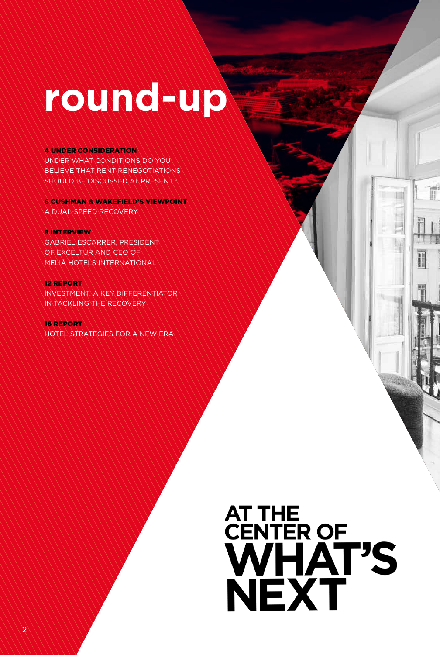# **round-up**

4 UNDER CONSIDERATION UNDER WHAT CONDITIONS DO YOU BELIEVE THAT RENT RENEGOTIATIONS SHOULD BE DISCUSSED AT PRESENT?

6 CUSHMAN & WAKEFIELD'S VIEWPOINT A DUAL-SPEED RECOVERY

#### 8 INTERVIEW

GABRIEL ESCARRER, PRESIDENT OF EXCELTUR AND CEO OF MELIÁ HOTELS INTERNATIONAL

#### 12 REPORT

INVESTMENT, A KEY DIFFERENTIATOR IN TACKLING THE RECOVERY

16 REPORT HOTEL STRATEGIES FOR A NEW ERA



厠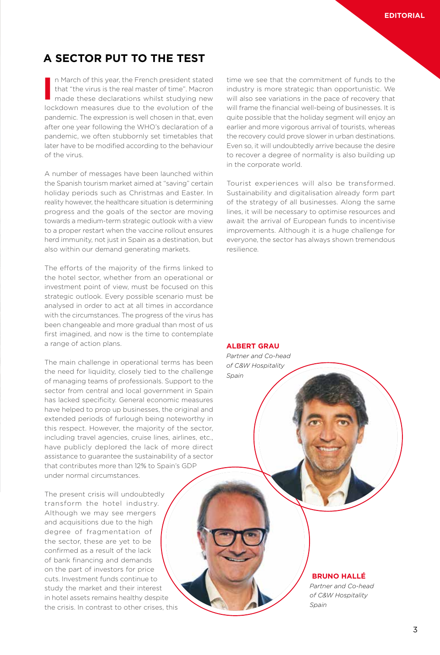#### **A SECTOR PUT TO THE TEST**

n March of this year, the French president stated that "the virus is the real master of time". Macron made these declarations whilst studying new lockdown measures due to the evolution of the pandemic. The expression is well chosen in that, even after one year following the WHO's declaration of a pandemic, we often stubbornly set timetables that later have to be modified according to the behaviour of the virus. **I**

A number of messages have been launched within the Spanish tourism market aimed at "saving" certain holiday periods such as Christmas and Easter. In reality however, the healthcare situation is determining progress and the goals of the sector are moving towards a medium-term strategic outlook with a view to a proper restart when the vaccine rollout ensures herd immunity, not just in Spain as a destination, but also within our demand generating markets.

The efforts of the majority of the firms linked to the hotel sector, whether from an operational or investment point of view, must be focused on this strategic outlook. Every possible scenario must be analysed in order to act at all times in accordance with the circumstances. The progress of the virus has been changeable and more gradual than most of us first imagined, and now is the time to contemplate a range of action plans.

The main challenge in operational terms has been the need for liquidity, closely tied to the challenge of managing teams of professionals. Support to the sector from central and local government in Spain has lacked specificity. General economic measures have helped to prop up businesses, the original and extended periods of furlough being noteworthy in this respect. However, the majority of the sector, including travel agencies, cruise lines, airlines, etc., have publicly deplored the lack of more direct assistance to guarantee the sustainability of a sector that contributes more than 12% to Spain's GDP under normal circumstances.

The present crisis will undoubtedly transform the hotel industry. Although we may see mergers and acquisitions due to the high degree of fragmentation of the sector, these are yet to be confirmed as a result of the lack of bank financing and demands on the part of investors for price cuts. Investment funds continue to study the market and their interest in hotel assets remains healthy despite the crisis. In contrast to other crises, this time we see that the commitment of funds to the industry is more strategic than opportunistic. We will also see variations in the pace of recovery that will frame the financial well-being of businesses. It is quite possible that the holiday segment will enjoy an earlier and more vigorous arrival of tourists, whereas the recovery could prove slower in urban destinations. Even so, it will undoubtedly arrive because the desire to recover a degree of normality is also building up in the corporate world.

Tourist experiences will also be transformed. Sustainability and digitalisation already form part of the strategy of all businesses. Along the same lines, it will be necessary to optimise resources and await the arrival of European funds to incentivise improvements. Although it is a huge challenge for everyone, the sector has always shown tremendous resilience.

#### **ALBERT GRAU**  *Partner and Co-head*

*of C&W Hospitality Spain* 

#### **BRUNO HALLÉ**

*Partner and Co-head of C&W Hospitality Spain*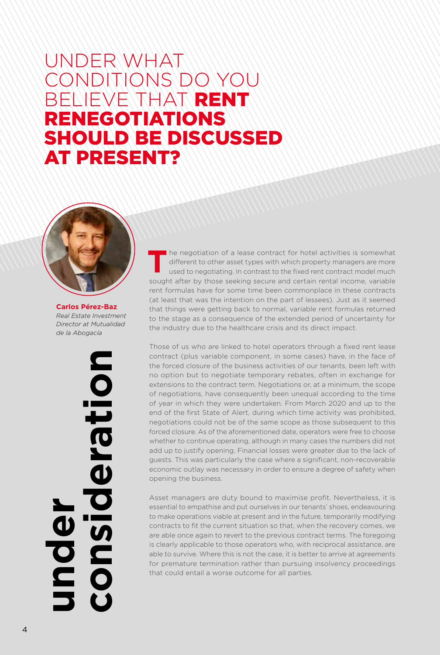#### UNDER WHAT CONDITIONS DO YOU BELIEVE THAT RENT RENEGOTIATIONS SHOULD BE DISCUSSED AT PRESENT?



**Carlos Pérez-Baz** *Real Estate Investment Director at Mutualidad de la Abogacía*

**under consideration**

he negotiation of a lease contract for hotel activities is somewhat different to other asset types with which property managers are more used to negotiating. In contrast to the fixed rent contract model much sought after by those seeking secure and certain rental income, variable rent formulas have for some time been commonplace in these contracts (at least that was the intention on the part of lessees). Just as it seemed that things were getting back to normal, variable rent formulas returned to the stage as a consequence of the extended period of uncertainty for the industry due to the healthcare crisis and its direct impact. **T**

Those of us who are linked to hotel operators through a fixed rent lease contract (plus variable component, in some cases) have, in the face of the forced closure of the business activities of our tenants, been left with no option but to negotiate temporary rebates, often in exchange for extensions to the contract term. Negotiations or, at a minimum, the scope of negotiations, have consequently been unequal according to the time of year in which they were undertaken. From March 2020 and up to the end of the first State of Alert, during which time activity was prohibited, negotiations could not be of the same scope as those subsequent to this forced closure. As of the aforementioned date, operators were free to choose whether to continue operating, although in many cases the numbers did not add up to justify opening. Financial losses were greater due to the lack of guests. This was particularly the case where a significant, non-recoverable economic outlay was necessary in order to ensure a degree of safety when opening the business.

Asset managers are duty bound to maximise profit. Nevertheless, it is essential to empathise and put ourselves in our tenants' shoes, endeavouring to make operations viable at present and in the future, temporarily modifying contracts to fit the current situation so that, when the recovery comes, we are able once again to revert to the previous contract terms. The foregoing is clearly applicable to those operators who, with reciprocal assistance, are able to survive. Where this is not the case, it is better to arrive at agreements for premature termination rather than pursuing insolvency proceedings that could entail a worse outcome for all parties.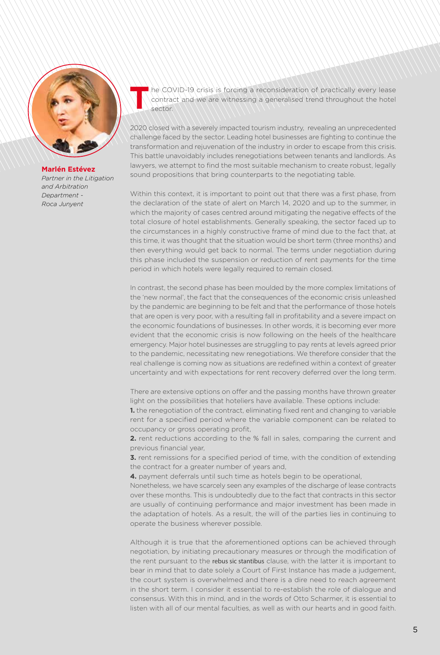

**Marlén Estévez** *Partner in the Litigation and Arbitration Department - Roca Junyent*

he COVID-19 crisis is forcing a reconsideration of practically every lease contract and we are witnessing a generalised trend throughout the hotel sector. **T**

2020 closed with a severely impacted tourism industry, revealing an unprecedented challenge faced by the sector. Leading hotel businesses are fighting to continue the transformation and rejuvenation of the industry in order to escape from this crisis. This battle unavoidably includes renegotiations between tenants and landlords. As lawyers, we attempt to find the most suitable mechanism to create robust, legally sound propositions that bring counterparts to the negotiating table.

Within this context, it is important to point out that there was a first phase, from the declaration of the state of alert on March 14, 2020 and up to the summer, in which the majority of cases centred around mitigating the negative effects of the total closure of hotel establishments. Generally speaking, the sector faced up to the circumstances in a highly constructive frame of mind due to the fact that, at this time, it was thought that the situation would be short term (three months) and then everything would get back to normal. The terms under negotiation during this phase included the suspension or reduction of rent payments for the time period in which hotels were legally required to remain closed.

In contrast, the second phase has been moulded by the more complex limitations of the 'new normal', the fact that the consequences of the economic crisis unleashed by the pandemic are beginning to be felt and that the performance of those hotels that are open is very poor, with a resulting fall in profitability and a severe impact on the economic foundations of businesses. In other words, it is becoming ever more evident that the economic crisis is now following on the heels of the healthcare emergency. Major hotel businesses are struggling to pay rents at levels agreed prior to the pandemic, necessitating new renegotiations. We therefore consider that the real challenge is coming now as situations are redefined within a context of greater uncertainty and with expectations for rent recovery deferred over the long term.

There are extensive options on offer and the passing months have thrown greater light on the possibilities that hoteliers have available. These options include:

**1.** the renegotiation of the contract, eliminating fixed rent and changing to variable rent for a specified period where the variable component can be related to occupancy or gross operating profit,

**2.** rent reductions according to the % fall in sales, comparing the current and previous financial year,

**3.** rent remissions for a specified period of time, with the condition of extending the contract for a greater number of years and,

**4.** payment deferrals until such time as hotels begin to be operational,

Nonetheless, we have scarcely seen any examples of the discharge of lease contracts over these months. This is undoubtedly due to the fact that contracts in this sector are usually of continuing performance and major investment has been made in the adaptation of hotels. As a result, the will of the parties lies in continuing to operate the business wherever possible.

Although it is true that the aforementioned options can be achieved through negotiation, by initiating precautionary measures or through the modification of the rent pursuant to the rebus sic stantibus clause, with the latter it is important to bear in mind that to date solely a Court of First Instance has made a judgement, the court system is overwhelmed and there is a dire need to reach agreement in the short term. I consider it essential to re-establish the role of dialogue and consensus. With this in mind, and in the words of Otto Scharmer, it is essential to listen with all of our mental faculties, as well as with our hearts and in good faith.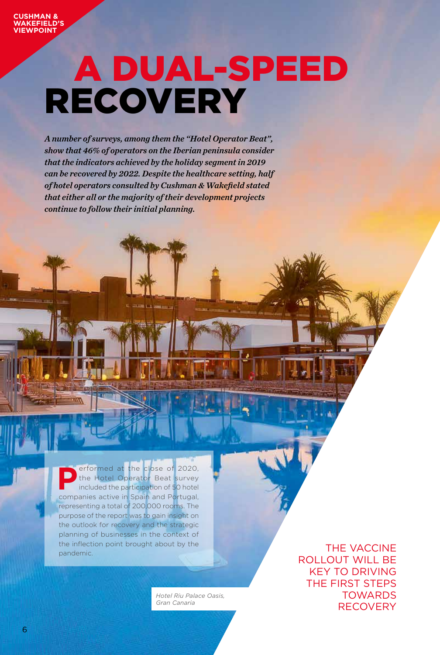**CUSHMAN & WAKEFIELD'S VIEWPOINT**

# A DUAL-SPEED RECOVERY

*A number of surveys, among them the "Hotel Operator Beat", show that 46% of operators on the Iberian peninsula consider that the indicators achieved by the holiday segment in 2019 can be recovered by 2022. Despite the healthcare setting, half of hotel operators consulted by Cushman & Wakefield stated that either all or the majority of their development projects continue to follow their initial planning.* 

erformed at the close of 2020, the Hotel Operator Beat survey included the participation of 50 hotel erformed at the close of 2020,<br>the Hotel Operator Beat survey<br>included the participation of 50 hotel<br>companies active in Spain and Portugal, representing a total of 200,000 rooms. The purpose of the report was to gain insight on the outlook for recovery and the strategic planning of businesses in the context of the inflection point brought about by the pandemic.

> *Hotel Riu Palace Oasis, Gran Canaria*

THE VACCINE ROLLOUT WILL BE KEY TO DRIVING THE FIRST STEPS TOWARDS RECOVERY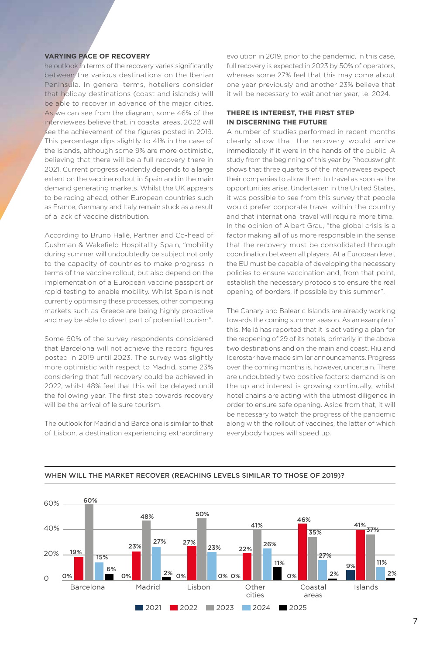#### **VARYING PACE OF RECOVERY**

he outlook in terms of the recovery varies significantly between the various destinations on the Iberian Peninsula. In general terms, hoteliers consider that holiday destinations (coast and islands) will be able to recover in advance of the major cities. As we can see from the diagram, some 46% of the interviewees believe that, in coastal areas, 2022 will see the achievement of the figures posted in 2019. This percentage dips slightly to 41% in the case of the islands, although some 9% are more optimistic, believing that there will be a full recovery there in 2021. Current progress evidently depends to a large extent on the vaccine rollout in Spain and in the main demand generating markets. Whilst the UK appears to be racing ahead, other European countries such as France, Germany and Italy remain stuck as a result of a lack of vaccine distribution.

According to Bruno Hallé, Partner and Co-head of Cushman & Wakefield Hospitality Spain, "mobility during summer will undoubtedly be subject not only to the capacity of countries to make progress in terms of the vaccine rollout, but also depend on the implementation of a European vaccine passport or rapid testing to enable mobility. Whilst Spain is not currently optimising these processes, other competing markets such as Greece are being highly proactive and may be able to divert part of potential tourism".

Some 60% of the survey respondents considered that Barcelona will not achieve the record figures posted in 2019 until 2023. The survey was slightly more optimistic with respect to Madrid, some 23% considering that full recovery could be achieved in 2022, whilst 48% feel that this will be delayed until the following year. The first step towards recovery will be the arrival of leisure tourism.

The outlook for Madrid and Barcelona is similar to that of Lisbon, a destination experiencing extraordinary

evolution in 2019, prior to the pandemic. In this case, full recovery is expected in 2023 by 50% of operators, whereas some 27% feel that this may come about one year previously and another 23% believe that it will be necessary to wait another year, i.e. 2024.

#### **THERE IS INTEREST, THE FIRST STEP IN DISCERNING THE FUTURE**

A number of studies performed in recent months clearly show that the recovery would arrive immediately if it were in the hands of the public. A study from the beginning of this year by Phocuswright shows that three quarters of the interviewees expect their companies to allow them to travel as soon as the opportunities arise. Undertaken in the United States, it was possible to see from this survey that people would prefer corporate travel within the country and that international travel will require more time. In the opinion of Albert Grau, "the global crisis is a factor making all of us more responsible in the sense that the recovery must be consolidated through coordination between all players. At a European level, the EU must be capable of developing the necessary policies to ensure vaccination and, from that point, establish the necessary protocols to ensure the real opening of borders, if possible by this summer".

The Canary and Balearic Islands are already working towards the coming summer season. As an example of this, Meliá has reported that it is activating a plan for the reopening of 29 of its hotels, primarily in the above two destinations and on the mainland coast. Riu and Iberostar have made similar announcements. Progress over the coming months is, however, uncertain. There are undoubtedly two positive factors: demand is on the up and interest is growing continually, whilst hotel chains are acting with the utmost diligence in order to ensure safe opening. Aside from that, it will be necessary to watch the progress of the pandemic along with the rollout of vaccines, the latter of which everybody hopes will speed up.



#### WHEN WILL THE MARKET RECOVER (REACHING LEVELS SIMILAR TO THOSE OF 2019)?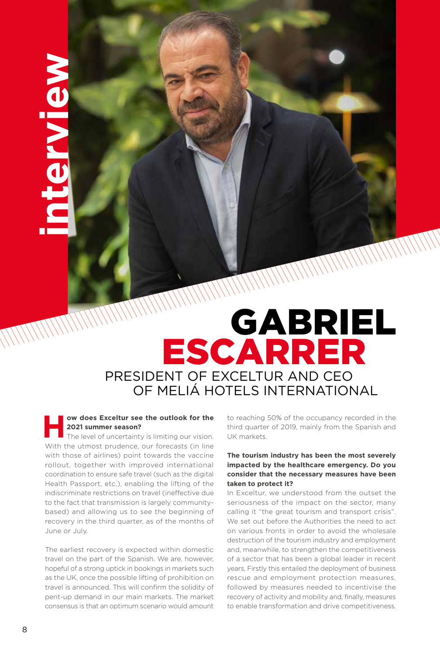# **interview** erview

### **GABRIEL** ESCARRER PRESIDENT OF EXCELTUR AND CEO OF MELIÁ HOTELS INTERNATIONAL

#### **ow does Exceltur see the outlook for the 2021 summer season? H**

The level of uncertainty is limiting our vision. With the utmost prudence, our forecasts (in line with those of airlines) point towards the vaccine rollout, together with improved international coordination to ensure safe travel (such as the digital Health Passport, etc.), enabling the lifting of the indiscriminate restrictions on travel (ineffective due to the fact that transmission is largely communitybased) and allowing us to see the beginning of recovery in the third quarter, as of the months of June or July.

The earliest recovery is expected within domestic travel on the part of the Spanish. We are, however, hopeful of a strong uptick in bookings in markets such as the UK, once the possible lifting of prohibition on travel is announced. This will confirm the solidity of pent-up demand in our main markets. The market consensus is that an optimum scenario would amount

to reaching 50% of the occupancy recorded in the third quarter of 2019, mainly from the Spanish and UK markets.

#### **The tourism industry has been the most severely impacted by the healthcare emergency. Do you consider that the necessary measures have been taken to protect it?**

In Exceltur, we understood from the outset the seriousness of the impact on the sector, many calling it "the great tourism and transport crisis". We set out before the Authorities the need to act on various fronts in order to avoid the wholesale destruction of the tourism industry and employment and, meanwhile, to strengthen the competitiveness of a sector that has been a global leader in recent years, Firstly this entailed the deployment of business rescue and employment protection measures, followed by measures needed to incentivise the recovery of activity and mobility and, finally, measures to enable transformation and drive competitiveness.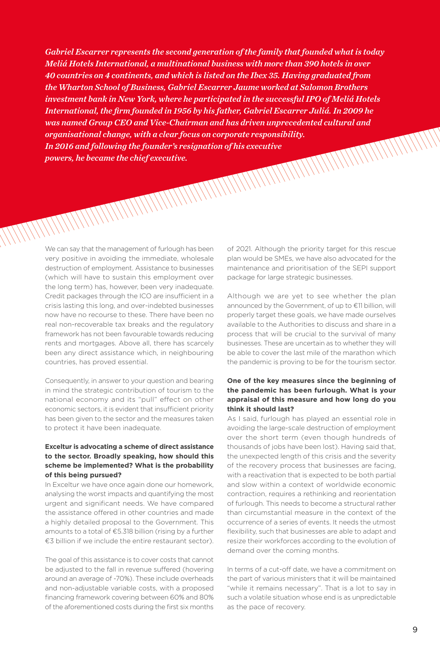*Gabriel Escarrer represents the second generation of the family that founded what is today Meliá Hotels International, a multinational business with more than 390 hotels in over 40 countries on 4 continents, and which is listed on the Ibex 35. Having graduated from the Wharton School of Business, Gabriel Escarrer Jaume worked at Salomon Brothers investment bank in New York, where he participated in the successful IPO of Meliá Hotels International, the firm founded in 1956 by his father, Gabriel Escarrer Juliá. In 2009 he was named Group CEO and Vice-Chairman and has driven unprecedented cultural and organisational change, with a clear focus on corporate responsibility. In 2016 and following the founder's resignation of his executive powers, he became the chief executive.*

We can say that the management of furlough has been very positive in avoiding the immediate, wholesale destruction of employment. Assistance to businesses (which will have to sustain this employment over the long term) has, however, been very inadequate. Credit packages through the ICO are insufficient in a crisis lasting this long, and over-indebted businesses now have no recourse to these. There have been no real non-recoverable tax breaks and the regulatory framework has not been favourable towards reducing rents and mortgages. Above all, there has scarcely been any direct assistance which, in neighbouring countries, has proved essential.

Consequently, in answer to your question and bearing in mind the strategic contribution of tourism to the national economy and its "pull" effect on other economic sectors, it is evident that insufficient priority has been given to the sector and the measures taken to protect it have been inadequate.

#### **Exceltur is advocating a scheme of direct assistance to the sector. Broadly speaking, how should this scheme be implemented? What is the probability of this being pursued?**

In Exceltur we have once again done our homework, analysing the worst impacts and quantifying the most urgent and significant needs. We have compared the assistance offered in other countries and made a highly detailed proposal to the Government. This amounts to a total of €5.318 billion (rising by a further €3 billion if we include the entire restaurant sector).

The goal of this assistance is to cover costs that cannot be adjusted to the fall in revenue suffered (hovering around an average of -70%). These include overheads and non-adjustable variable costs, with a proposed financing framework covering between 60% and 80% of the aforementioned costs during the first six months

of 2021. Although the priority target for this rescue plan would be SMEs, we have also advocated for the maintenance and prioritisation of the SEPI support package for large strategic businesses.

Although we are yet to see whether the plan announced by the Government, of up to €11 billion, will properly target these goals, we have made ourselves available to the Authorities to discuss and share in a process that will be crucial to the survival of many businesses. These are uncertain as to whether they will be able to cover the last mile of the marathon which the pandemic is proving to be for the tourism sector.

#### **One of the key measures since the beginning of the pandemic has been furlough. What is your appraisal of this measure and how long do you think it should last?**

As I said, furlough has played an essential role in avoiding the large-scale destruction of employment over the short term (even though hundreds of thousands of jobs have been lost). Having said that, the unexpected length of this crisis and the severity of the recovery process that businesses are facing, with a reactivation that is expected to be both partial and slow within a context of worldwide economic contraction, requires a rethinking and reorientation of furlough. This needs to become a structural rather than circumstantial measure in the context of the occurrence of a series of events. It needs the utmost flexibility, such that businesses are able to adapt and resize their workforces according to the evolution of demand over the coming months.

In terms of a cut-off date, we have a commitment on the part of various ministers that it will be maintained "while it remains necessary". That is a lot to say in such a volatile situation whose end is as unpredictable as the pace of recovery.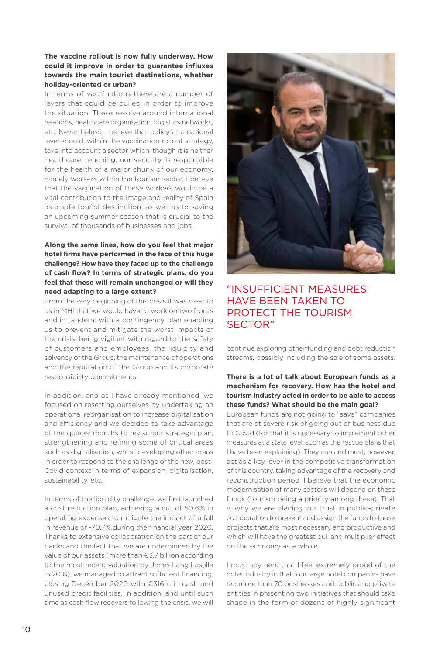#### **The vaccine rollout is now fully underway. How could it improve in order to guarantee influxes towards the main tourist destinations, whether holiday-oriented or urban?**

In terms of vaccinations there are a number of levers that could be pulled in order to improve the situation. These revolve around international relations, healthcare organisation, logistics networks, etc. Nevertheless, I believe that policy at a national level should, within the vaccination rollout strategy, take into account a sector which, though it is neither healthcare, teaching, nor security, is responsible for the health of a major chunk of our economy, namely workers within the tourism sector. I believe that the vaccination of these workers would be a vital contribution to the image and reality of Spain as a safe tourist destination, as well as to saving an upcoming summer season that is crucial to the survival of thousands of businesses and jobs.

#### **Along the same lines, how do you feel that major hotel firms have performed in the face of this huge challenge? How have they faced up to the challenge of cash flow? In terms of strategic plans, do you feel that these will remain unchanged or will they need adapting to a large extent?**

From the very beginning of this crisis it was clear to us in MHI that we would have to work on two fronts and in tandem: with a contingency plan enabling us to prevent and mitigate the worst impacts of the crisis, being vigilant with regard to the safety of customers and employees, the liquidity and solvency of the Group, the maintenance of operations and the reputation of the Group and its corporate responsibility commitments.

In addition, and as I have already mentioned, we focused on resetting ourselves by undertaking an operational reorganisation to increase digitalisation and efficiency and we decided to take advantage of the quieter months to revisit our strategic plan, strengthening and refining some of critical areas such as digitalisation, whilst developing other areas in order to respond to the challenge of the new, post-Covid context in terms of expansion, digitalisation, sustainability, etc.

In terms of the liquidity challenge, we first launched a cost reduction plan, achieving a cut of 50.6% in operating expenses to mitigate the impact of a fall in revenue of -70.7% during the financial year 2020. Thanks to extensive collaboration on the part of our banks and the fact that we are underpinned by the value of our assets (more than €3.7 billion according to the most recent valuation by Jones Lang Lasalle in 2018), we managed to attract sufficient financing, closing December 2020 with €316m in cash and unused credit facilities. In addition, and until such time as cash flow recovers following the crisis, we will



#### "INSUFFICIENT MEASURES HAVE BEEN TAKEN TO PROTECT THE TOURISM SECTOR"

continue exploring other funding and debt reduction streams, possibly including the sale of some assets.

#### **There is a lot of talk about European funds as a mechanism for recovery. How has the hotel and tourism industry acted in order to be able to access these funds? What should be the main goal?**

European funds are not going to "save" companies that are at severe risk of going out of business due to Covid (for that it is necessary to implement other measures at a state level, such as the rescue plans that I have been explaining). They can and must, however, act as a key lever in the competitive transformation of this country, taking advantage of the recovery and reconstruction period. I believe that the economic modernisation of many sectors will depend on these funds (tourism being a priority among these). That is why we are placing our trust in public-private collaboration to present and assign the funds to those projects that are most necessary and productive and which will have the greatest pull and multiplier effect on the economy as a whole.

I must say here that I feel extremely proud of the hotel industry in that four large hotel companies have led more than 70 businesses and public and private entities in presenting two initiatives that should take shape in the form of dozens of highly significant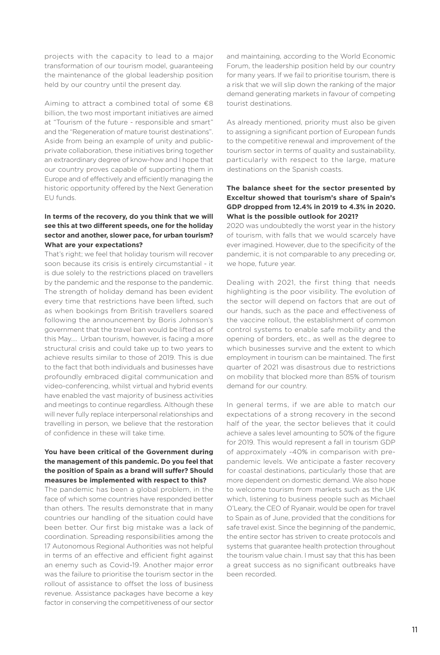projects with the capacity to lead to a major transformation of our tourism model, guaranteeing the maintenance of the global leadership position held by our country until the present day.

Aiming to attract a combined total of some €8 billion, the two most important initiatives are aimed at "Tourism of the future - responsible and smart" and the "Regeneration of mature tourist destinations". Aside from being an example of unity and publicprivate collaboration, these initiatives bring together an extraordinary degree of know-how and I hope that our country proves capable of supporting them in Europe and of effectively and efficiently managing the historic opportunity offered by the Next Generation EU funds.

#### **In terms of the recovery, do you think that we will see this at two different speeds, one for the holiday sector and another, slower pace, for urban tourism? What are your expectations?**

That's right; we feel that holiday tourism will recover soon because its crisis is entirely circumstantial - it is due solely to the restrictions placed on travellers by the pandemic and the response to the pandemic. The strength of holiday demand has been evident every time that restrictions have been lifted, such as when bookings from British travellers soared following the announcement by Boris Johnson's government that the travel ban would be lifted as of this May…. Urban tourism, however, is facing a more structural crisis and could take up to two years to achieve results similar to those of 2019. This is due to the fact that both individuals and businesses have profoundly embraced digital communication and video-conferencing, whilst virtual and hybrid events have enabled the vast majority of business activities and meetings to continue regardless. Although these will never fully replace interpersonal relationships and travelling in person, we believe that the restoration of confidence in these will take time.

#### **You have been critical of the Government during the management of this pandemic. Do you feel that the position of Spain as a brand will suffer? Should measures be implemented with respect to this?**

The pandemic has been a global problem, in the face of which some countries have responded better than others. The results demonstrate that in many countries our handling of the situation could have been better. Our first big mistake was a lack of coordination. Spreading responsibilities among the 17 Autonomous Regional Authorities was not helpful in terms of an effective and efficient fight against an enemy such as Covid-19. Another major error was the failure to prioritise the tourism sector in the rollout of assistance to offset the loss of business revenue. Assistance packages have become a key factor in conserving the competitiveness of our sector

and maintaining, according to the World Economic Forum, the leadership position held by our country for many years. If we fail to prioritise tourism, there is a risk that we will slip down the ranking of the major demand generating markets in favour of competing tourist destinations.

As already mentioned, priority must also be given to assigning a significant portion of European funds to the competitive renewal and improvement of the tourism sector in terms of quality and sustainability, particularly with respect to the large, mature destinations on the Spanish coasts.

#### **The balance sheet for the sector presented by Exceltur showed that tourism's share of Spain's GDP dropped from 12.4% in 2019 to 4.3% in 2020. What is the possible outlook for 2021?**

2020 was undoubtedly the worst year in the history of tourism, with falls that we would scarcely have ever imagined. However, due to the specificity of the pandemic, it is not comparable to any preceding or, we hope, future year.

Dealing with 2021, the first thing that needs highlighting is the poor visibility. The evolution of the sector will depend on factors that are out of our hands, such as the pace and effectiveness of the vaccine rollout, the establishment of common control systems to enable safe mobility and the opening of borders, etc., as well as the degree to which businesses survive and the extent to which employment in tourism can be maintained. The first quarter of 2021 was disastrous due to restrictions on mobility that blocked more than 85% of tourism demand for our country.

In general terms, if we are able to match our expectations of a strong recovery in the second half of the year, the sector believes that it could achieve a sales level amounting to 50% of the figure for 2019. This would represent a fall in tourism GDP of approximately -40% in comparison with prepandemic levels. We anticipate a faster recovery for coastal destinations, particularly those that are more dependent on domestic demand. We also hope to welcome tourism from markets such as the UK which, listening to business people such as Michael O'Leary, the CEO of Ryanair, would be open for travel to Spain as of June, provided that the conditions for safe travel exist. Since the beginning of the pandemic, the entire sector has striven to create protocols and systems that guarantee health protection throughout the tourism value chain. I must say that this has been a great success as no significant outbreaks have been recorded.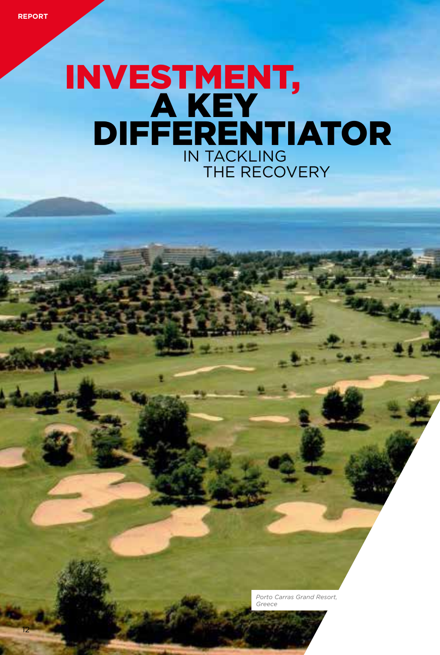## INVESTMENT, IN TACKLING A KEY DIFFERENTIATOR THE RECOVERY

*Porto Carras Grand Resort, Greece*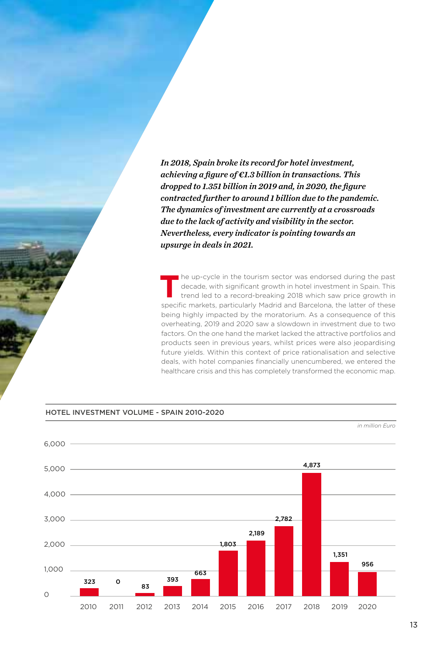*In 2018, Spain broke its record for hotel investment, achieving a figure of €1.3 billion in transactions. This dropped to 1.351 billion in 2019 and, in 2020, the figure contracted further to around 1 billion due to the pandemic. The dynamics of investment are currently at a crossroads due to the lack of activity and visibility in the sector. Nevertheless, every indicator is pointing towards an upsurge in deals in 2021.* 

he up-cycle in the tourism sector was endorsed during the past decade, with significant growth in hotel investment in Spain. This trend led to a record-breaking 2018 which saw price growth in specific markets, particularly Madrid and Barcelona, the latter of these specific markets, particularly Madrid and Barcelona, the latter of these being highly impacted by the moratorium. As a consequence of this overheating, 2019 and 2020 saw a slowdown in investment due to two factors. On the one hand the market lacked the attractive portfolios and products seen in previous years, whilst prices were also jeopardising future yields. Within this context of price rationalisation and selective deals, with hotel companies financially unencumbered, we entered the healthcare crisis and this has completely transformed the economic map.

#### HOTEL INVESTMENT VOLUME - SPAIN 2010-2020

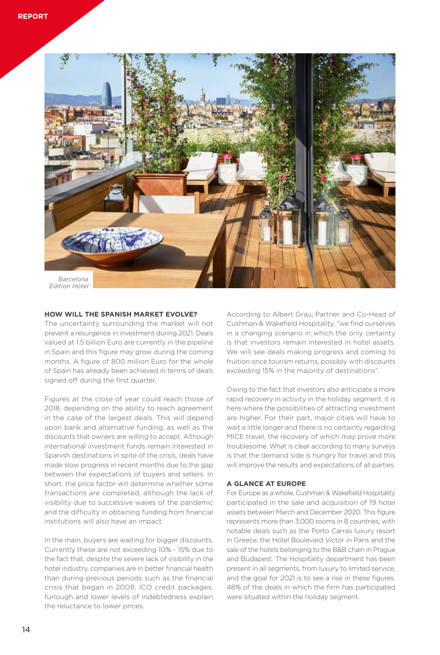

#### **HOW WILL THE SPANISH MARKET EVOLVE?**

The uncertainty surrounding the market will not prevent a resurgence in investment during 2021. Deals valued at 1.5 billion Euro are currently in the pipeline in Spain and this figure may grow during the coming months. A figure of 800 million Euro for the whole of Spain has already been achieved in terms of deals signed off during the first quarter.

Figures at the close of year could reach those of 2018, depending on the ability to reach agreement in the case of the largest deals. This will depend upon bank and alternative funding, as well as the discounts that owners are willing to accept. Although international investment funds remain interested in Spanish destinations in spite of the crisis, deals have made slow progress in recent months due to the gap between the expectations of buyers and sellers. In short, the price factor will determine whether some transactions are completed, although the lack of visibility due to successive waves of the pandemic and the difficulty in obtaining funding from financial institutions will also have an impact.

In the main, buyers are waiting for bigger discounts. Currently these are not exceeding 10% - 15% due to the fact that, despite the severe lack of visibility in the hotel industry, companies are in better financial health than during previous periods such as the financial crisis that began in 2008. ICO credit packages, furlough and lower levels of indebtedness explain the reluctance to lower prices.

According to Albert Grau, Partner and Co-Head of Cushman & Wakefield Hospitality, "we find ourselves in a changing scenario in which the only certainty is that investors remain interested in hotel assets. We will see deals making progress and coming to fruition once tourism returns, possibly with discounts exceeding 15% in the majority of destinations".

Owing to the fact that investors also anticipate a more rapid recovery in activity in the holiday segment, it is here where the possibilities of attracting investment are higher. For their part, major cities will have to wait a little longer and there is no certainty regarding MICE travel, the recovery of which may prove more troublesome. What is clear according to many surveys is that the demand side is hungry for travel and this will improve the results and expectations of all parties.

#### **A GLANCE AT EUROPE**

For Europe as a whole, Cushman & Wakefield Hospitality participated in the sale and acquisition of 19 hotel assets between March and December 2020. This figure represents more than 3,000 rooms in 8 countries, with notable deals such as the Porto Carras luxury resort in Greece, the Hotel Boulevard Victor in Paris and the sale of the hotels belonging to the B&B chain in Prague and Budapest. The Hospitality department has been present in all segments, from luxury to limited service, and the goal for 2021 is to see a rise in these figures. 48% of the deals in which the firm has participated were situated within the holiday segment.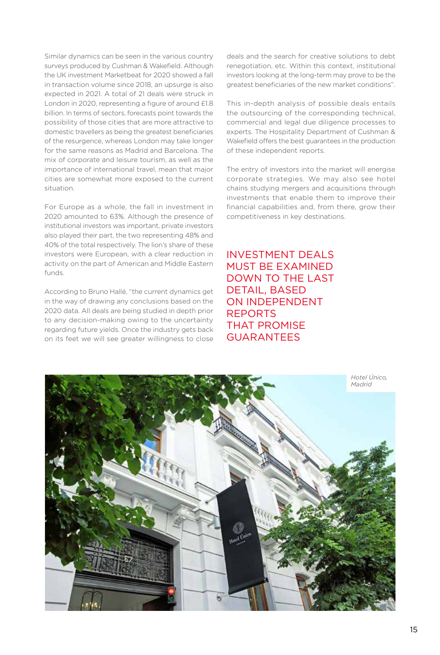Similar dynamics can be seen in the various country surveys produced by Cushman & Wakefield. Although the UK investment Marketbeat for 2020 showed a fall in transaction volume since 2018, an upsurge is also expected in 2021. A total of 21 deals were struck in London in 2020, representing a figure of around £1.8 billion. In terms of sectors, forecasts point towards the possibility of those cities that are more attractive to domestic travellers as being the greatest beneficiaries of the resurgence, whereas London may take longer for the same reasons as Madrid and Barcelona. The mix of corporate and leisure tourism, as well as the importance of international travel, mean that major cities are somewhat more exposed to the current situation.

For Europe as a whole, the fall in investment in 2020 amounted to 63%. Although the presence of institutional investors was important, private investors also played their part, the two representing 48% and 40% of the total respectively. The lion's share of these investors were European, with a clear reduction in activity on the part of American and Middle Eastern funds.

According to Bruno Hallé, "the current dynamics get in the way of drawing any conclusions based on the 2020 data. All deals are being studied in depth prior to any decision-making owing to the uncertainty regarding future yields. Once the industry gets back on its feet we will see greater willingness to close deals and the search for creative solutions to debt renegotiation, etc. Within this context, institutional investors looking at the long-term may prove to be the greatest beneficiaries of the new market conditions".

This in-depth analysis of possible deals entails the outsourcing of the corresponding technical, commercial and legal due diligence processes to experts. The Hospitality Department of Cushman & Wakefield offers the best guarantees in the production of these independent reports.

The entry of investors into the market will energise corporate strategies. We may also see hotel chains studying mergers and acquisitions through investments that enable them to improve their financial capabilities and, from there, grow their competitiveness in key destinations.

INVESTMENT DEALS MUST BE EXAMINED DOWN TO THE LAST DETAIL, BASED ON INDEPENDENT REPORTS THAT PROMISE GUARANTEES

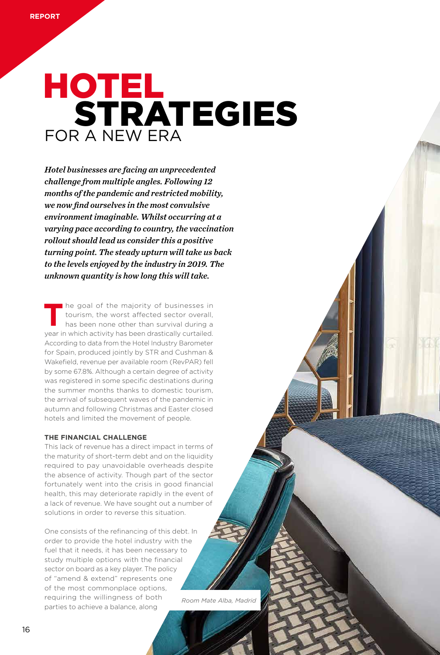# HOTEL FOR A NEW ERA **STRATEGIES**

*Hotel businesses are facing an unprecedented challenge from multiple angles. Following 12 months of the pandemic and restricted mobility, we now find ourselves in the most convulsive environment imaginable. Whilst occurring at a varying pace according to country, the vaccination rollout should lead us consider this a positive turning point. The steady upturn will take us back to the levels enjoyed by the industry in 2019. The unknown quantity is how long this will take.* 

he goal of the majority of businesses in tourism, the worst affected sector overall, has been none other than survival during a year in which activity has been drastically curtailed. According to data from the Hotel Industry Barometer for Spain, produced jointly by STR and Cushman & Wakefield, revenue per available room (RevPAR) fell by some 67.8%. Although a certain degree of activity was registered in some specific destinations during the summer months thanks to domestic tourism, the arrival of subsequent waves of the pandemic in autumn and following Christmas and Easter closed hotels and limited the movement of people. **T**

#### **THE FINANCIAL CHALLENGE**

This lack of revenue has a direct impact in terms of the maturity of short-term debt and on the liquidity required to pay unavoidable overheads despite the absence of activity. Though part of the sector fortunately went into the crisis in good financial health, this may deteriorate rapidly in the event of a lack of revenue. We have sought out a number of solutions in order to reverse this situation.

One consists of the refinancing of this debt. In order to provide the hotel industry with the fuel that it needs, it has been necessary to study multiple options with the financial sector on board as a key player. The policy of "amend & extend" represents one of the most commonplace options, requiring the willingness of both parties to achieve a balance, along

*Room Mate Alba, Madrid*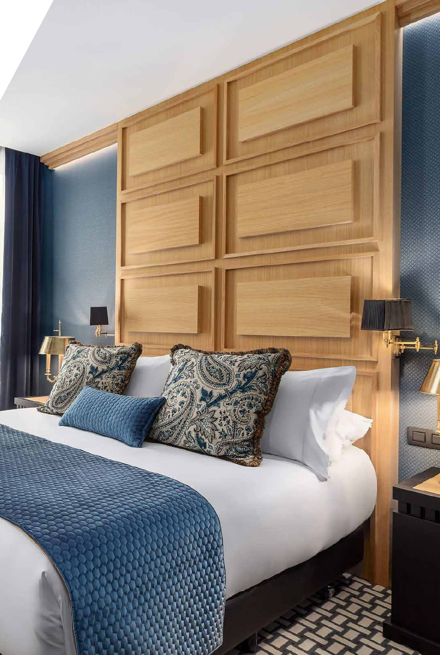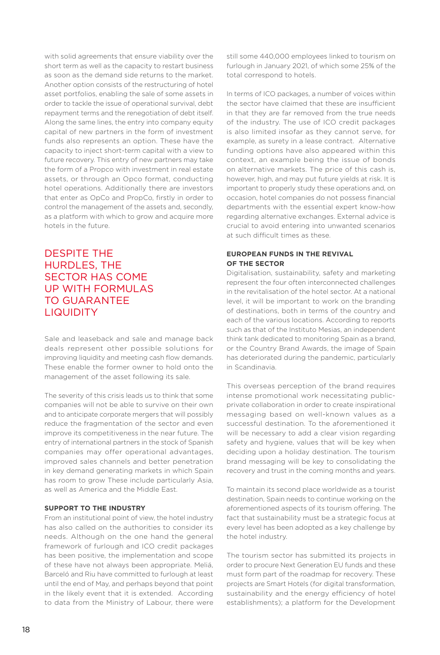with solid agreements that ensure viability over the short term as well as the capacity to restart business as soon as the demand side returns to the market. Another option consists of the restructuring of hotel asset portfolios, enabling the sale of some assets in order to tackle the issue of operational survival, debt repayment terms and the renegotiation of debt itself. Along the same lines, the entry into company equity capital of new partners in the form of investment funds also represents an option. These have the capacity to inject short-term capital with a view to future recovery. This entry of new partners may take the form of a Propco with investment in real estate assets, or through an Opco format, conducting hotel operations. Additionally there are investors that enter as OpCo and PropCo, firstly in order to control the management of the assets and, secondly, as a platform with which to grow and acquire more hotels in the future.

#### DESPITE THE HURDLES, THE SECTOR HAS COME UP WITH FORMULAS TO GUARANTEE **LIQUIDITY**

Sale and leaseback and sale and manage back deals represent other possible solutions for improving liquidity and meeting cash flow demands. These enable the former owner to hold onto the management of the asset following its sale.

The severity of this crisis leads us to think that some companies will not be able to survive on their own and to anticipate corporate mergers that will possibly reduce the fragmentation of the sector and even improve its competitiveness in the near future. The entry of international partners in the stock of Spanish companies may offer operational advantages, improved sales channels and better penetration in key demand generating markets in which Spain has room to grow These include particularly Asia, as well as America and the Middle East.

#### **SUPPORT TO THE INDUSTRY**

From an institutional point of view, the hotel industry has also called on the authorities to consider its needs. Although on the one hand the general framework of furlough and ICO credit packages has been positive, the implementation and scope of these have not always been appropriate. Meliá, Barceló and Riu have committed to furlough at least until the end of May, and perhaps beyond that point in the likely event that it is extended. According to data from the Ministry of Labour, there were

still some 440,000 employees linked to tourism on furlough in January 2021, of which some 25% of the total correspond to hotels.

In terms of ICO packages, a number of voices within the sector have claimed that these are insufficient in that they are far removed from the true needs of the industry. The use of ICO credit packages is also limited insofar as they cannot serve, for example, as surety in a lease contract. Alternative funding options have also appeared within this context, an example being the issue of bonds on alternative markets. The price of this cash is, however, high, and may put future yields at risk. It is important to properly study these operations and, on occasion, hotel companies do not possess financial departments with the essential expert know-how regarding alternative exchanges. External advice is crucial to avoid entering into unwanted scenarios at such difficult times as these.

#### **EUROPEAN FUNDS IN THE REVIVAL OF THE SECTOR**

Digitalisation, sustainability, safety and marketing represent the four often interconnected challenges in the revitalisation of the hotel sector. At a national level, it will be important to work on the branding of destinations, both in terms of the country and each of the various locations. According to reports such as that of the Instituto Mesias, an independent think tank dedicated to monitoring Spain as a brand, or the Country Brand Awards, the image of Spain has deteriorated during the pandemic, particularly in Scandinavia.

This overseas perception of the brand requires intense promotional work necessitating publicprivate collaboration in order to create inspirational messaging based on well-known values as a successful destination. To the aforementioned it will be necessary to add a clear vision regarding safety and hygiene, values that will be key when deciding upon a holiday destination. The tourism brand messaging will be key to consolidating the recovery and trust in the coming months and years.

To maintain its second place worldwide as a tourist destination, Spain needs to continue working on the aforementioned aspects of its tourism offering. The fact that sustainability must be a strategic focus at every level has been adopted as a key challenge by the hotel industry.

The tourism sector has submitted its projects in order to procure Next Generation EU funds and these must form part of the roadmap for recovery. These projects are Smart Hotels (for digital transformation, sustainability and the energy efficiency of hotel establishments); a platform for the Development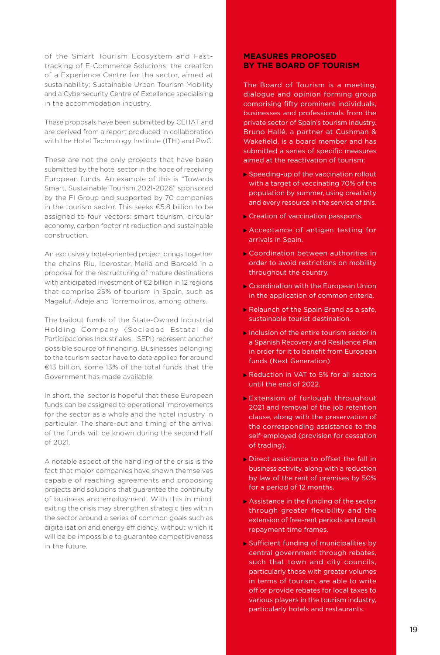of the Smart Tourism Ecosystem and Fasttracking of E-Commerce Solutions; the creation of a Experience Centre for the sector, aimed at sustainability; Sustainable Urban Tourism Mobility and a Cybersecurity Centre of Excellence specialising in the accommodation industry.

These proposals have been submitted by CEHAT and are derived from a report produced in collaboration with the Hotel Technology Institute (ITH) and PwC.

These are not the only projects that have been submitted by the hotel sector in the hope of receiving European funds. An example of this is "Towards Smart, Sustainable Tourism 2021-2026" sponsored by the FI Group and supported by 70 companies in the tourism sector. This seeks €5.8 billion to be assigned to four vectors: smart tourism, circular economy, carbon footprint reduction and sustainable construction.

An exclusively hotel-oriented project brings together the chains Riu, Iberostar, Meliá and Barceló in a proposal for the restructuring of mature destinations with anticipated investment of €2 billion in 12 regions that comprise 25% of tourism in Spain, such as Magaluf, Adeje and Torremolinos, among others.

The bailout funds of the State-Owned Industrial Holding Company (Sociedad Estatal de Participaciones Industriales - SEPI) represent another possible source of financing. Businesses belonging to the tourism sector have to date applied for around €13 billion, some 13% of the total funds that the Government has made available.

In short, the sector is hopeful that these European funds can be assigned to operational improvements for the sector as a whole and the hotel industry in particular. The share-out and timing of the arrival of the funds will be known during the second half of 2021.

A notable aspect of the handling of the crisis is the fact that major companies have shown themselves capable of reaching agreements and proposing projects and solutions that guarantee the continuity of business and employment. With this in mind, exiting the crisis may strengthen strategic ties within the sector around a series of common goals such as digitalisation and energy efficiency, without which it will be be impossible to guarantee competitiveness in the future.

#### **MEASURES PROPOSED BY THE BOARD OF TOURISM**

The Board of Tourism is a meeting, dialogue and opinion forming group comprising fifty prominent individuals, businesses and professionals from the private sector of Spain's tourism industry. Bruno Hallé, a partner at Cushman & Wakefield, is a board member and has submitted a series of specific measures aimed at the reactivation of tourism:

- Speeding-up of the vaccination rollout with a target of vaccinating 70% of the population by summer, using creativity and every resource in the service of this.
- Creation of vaccination passports.
- Acceptance of antigen testing for arrivals in Spain.
- Coordination between authorities in order to avoid restrictions on mobility throughout the country.
- Coordination with the European Union in the application of common criteria.
- **Relaunch of the Spain Brand as a safe,** sustainable tourist destination.
- Inclusion of the entire tourism sector in a Spanish Recovery and Resilience Plan in order for it to benefit from European funds (Next Generation)
- Reduction in VAT to 5% for all sectors until the end of 2022.
- Extension of furlough throughout 2021 and removal of the job retention clause, along with the preservation of the corresponding assistance to the self-employed (provision for cessation of trading).
- Direct assistance to offset the fall in business activity, along with a reduction by law of the rent of premises by 50% for a period of 12 months.
- Assistance in the funding of the sector through greater flexibility and the extension of free-rent periods and credit repayment time frames.
- Sufficient funding of municipalities by central government through rebates, such that town and city councils, particularly those with greater volumes in terms of tourism, are able to write off or provide rebates for local taxes to various players in the tourism industry, particularly hotels and restaurants.